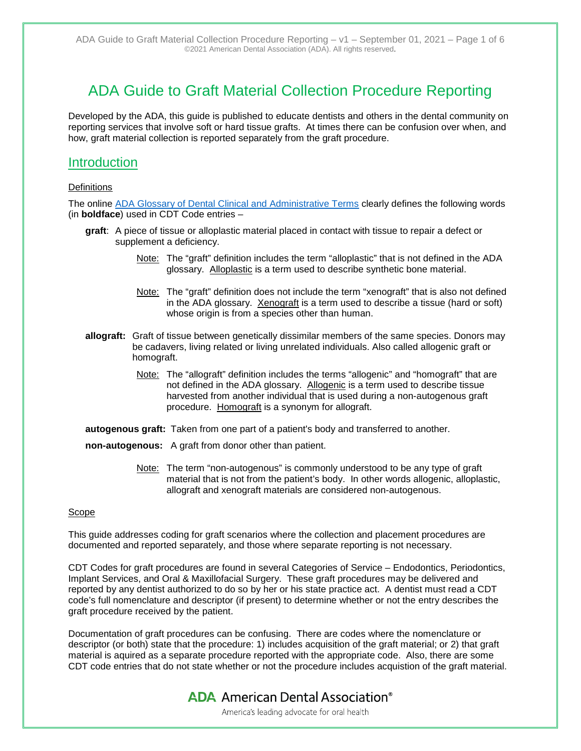# ADA Guide to Graft Material Collection Procedure Reporting

Developed by the ADA, this guide is published to educate dentists and others in the dental community on reporting services that involve soft or hard tissue grafts. At times there can be confusion over when, and how, graft material collection is reported separately from the graft procedure.

### **Introduction**

#### **Definitions**

The online [ADA Glossary of Dental Clinical and Administrative Terms](https://www.ada.org/en/publications/cdt/glossary-of-dental-clinical-and-administrative-terms#a) clearly defines the following words (in **boldface**) used in CDT Code entries –

- **graft**: A piece of tissue or alloplastic material placed in contact with tissue to repair a defect or supplement a deficiency.
	- Note: The "graft" definition includes the term "alloplastic" that is not defined in the ADA glossary. Alloplastic is a term used to describe synthetic bone material.
	- Note: The "graft" definition does not include the term "xenograft" that is also not defined in the ADA glossary. Xenograft is a term used to describe a tissue (hard or soft) whose origin is from a species other than human.
- **allograft:** Graft of tissue between genetically dissimilar members of the same species. Donors may be cadavers, living related or living unrelated individuals. Also called allogenic graft or homograft.
	- Note: The "allograft" definition includes the terms "allogenic" and "homograft" that are not defined in the ADA glossary. Allogenic is a term used to describe tissue harvested from another individual that is used during a non-autogenous graft procedure. Homograft is a synonym for allograft.

**autogenous graft:** Taken from one part of a patient's body and transferred to another.

**non-autogenous:** A graft from donor other than patient.

Note: The term "non-autogenous" is commonly understood to be any type of graft material that is not from the patient's body. In other words allogenic, alloplastic, allograft and xenograft materials are considered non-autogenous.

#### Scope

This guide addresses coding for graft scenarios where the collection and placement procedures are documented and reported separately, and those where separate reporting is not necessary.

CDT Codes for graft procedures are found in several Categories of Service – Endodontics, Periodontics, Implant Services, and Oral & Maxillofacial Surgery. These graft procedures may be delivered and reported by any dentist authorized to do so by her or his state practice act. A dentist must read a CDT code's full nomenclature and descriptor (if present) to determine whether or not the entry describes the graft procedure received by the patient.

Documentation of graft procedures can be confusing. There are codes where the nomenclature or descriptor (or both) state that the procedure: 1) includes acquisition of the graft material; or 2) that graft material is aquired as a separate procedure reported with the appropriate code. Also, there are some CDT code entries that do not state whether or not the procedure includes acquistion of the graft material.

**ADA** American Dental Association<sup>®</sup>

America's leading advocate for oral health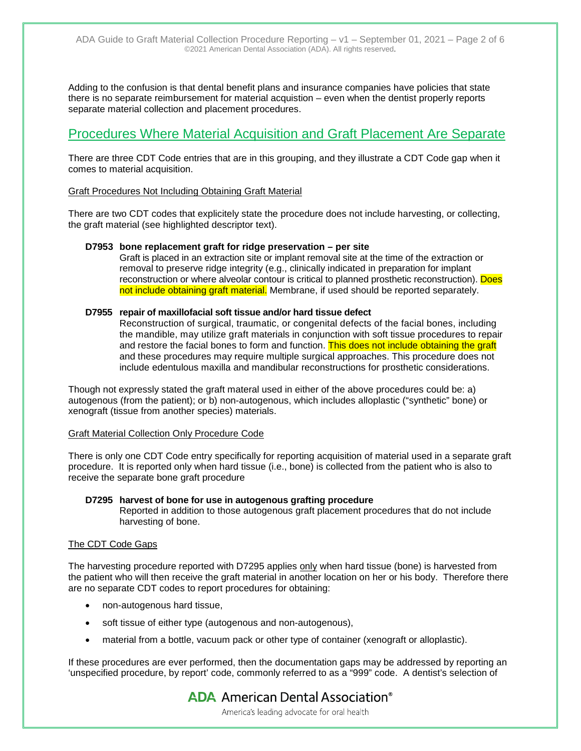Adding to the confusion is that dental benefit plans and insurance companies have policies that state there is no separate reimbursement for material acquistion – even when the dentist properly reports separate material collection and placement procedures.

## Procedures Where Material Acquisition and Graft Placement Are Separate

There are three CDT Code entries that are in this grouping, and they illustrate a CDT Code gap when it comes to material acquisition.

#### Graft Procedures Not Including Obtaining Graft Material

There are two CDT codes that explicitely state the procedure does not include harvesting, or collecting, the graft material (see highlighted descriptor text).

#### **D7953 bone replacement graft for ridge preservation – per site**

Graft is placed in an extraction site or implant removal site at the time of the extraction or removal to preserve ridge integrity (e.g., clinically indicated in preparation for implant reconstruction or where alveolar contour is critical to planned prosthetic reconstruction). Does not include obtaining graft material. Membrane, if used should be reported separately.

#### **D7955 repair of maxillofacial soft tissue and/or hard tissue defect**

Reconstruction of surgical, traumatic, or congenital defects of the facial bones, including the mandible, may utilize graft materials in conjunction with soft tissue procedures to repair and restore the facial bones to form and function. This does not include obtaining the graft and these procedures may require multiple surgical approaches. This procedure does not include edentulous maxilla and mandibular reconstructions for prosthetic considerations.

Though not expressly stated the graft materal used in either of the above procedures could be: a) autogenous (from the patient); or b) non-autogenous, which includes alloplastic ("synthetic" bone) or xenograft (tissue from another species) materials.

#### Graft Material Collection Only Procedure Code

There is only one CDT Code entry specifically for reporting acquisition of material used in a separate graft procedure. It is reported only when hard tissue (i.e., bone) is collected from the patient who is also to receive the separate bone graft procedure

#### **D7295 harvest of bone for use in autogenous grafting procedure**

Reported in addition to those autogenous graft placement procedures that do not include harvesting of bone.

#### The CDT Code Gaps

The harvesting procedure reported with D7295 applies only when hard tissue (bone) is harvested from the patient who will then receive the graft material in another location on her or his body. Therefore there are no separate CDT codes to report procedures for obtaining:

- non-autogenous hard tissue,
- soft tissue of either type (autogenous and non-autogenous),
- material from a bottle, vacuum pack or other type of container (xenograft or alloplastic).

If these procedures are ever performed, then the documentation gaps may be addressed by reporting an 'unspecified procedure, by report' code, commonly referred to as a "999" code. A dentist's selection of

> **ADA** American Dental Association<sup>®</sup> America's leading advocate for oral health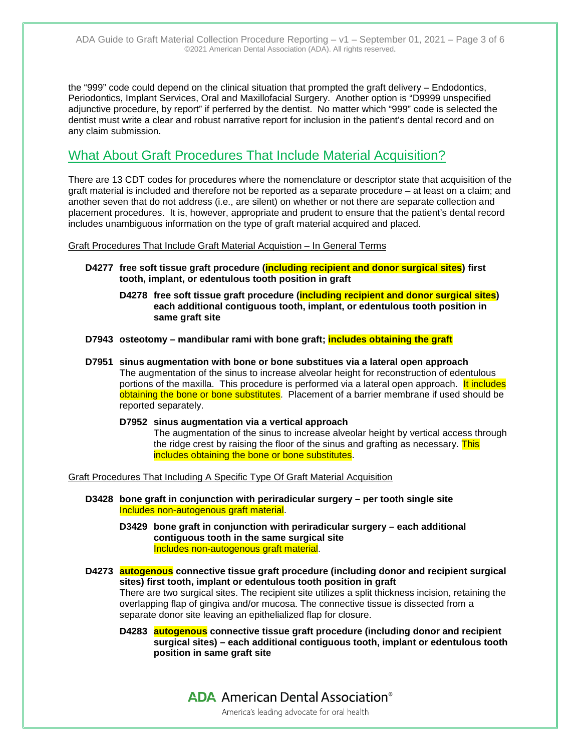the "999" code could depend on the clinical situation that prompted the graft delivery – Endodontics, Periodontics, Implant Services, Oral and Maxillofacial Surgery. Another option is "D9999 unspecified adjunctive procedure, by report" if perferred by the dentist. No matter which "999" code is selected the dentist must write a clear and robust narrative report for inclusion in the patient's dental record and on any claim submission.

### What About Graft Procedures That Include Material Acquisition?

There are 13 CDT codes for procedures where the nomenclature or descriptor state that acquisition of the graft material is included and therefore not be reported as a separate procedure – at least on a claim; and another seven that do not address (i.e., are silent) on whether or not there are separate collection and placement procedures. It is, however, appropriate and prudent to ensure that the patient's dental record includes unambiguous information on the type of graft material acquired and placed.

Graft Procedures That Include Graft Material Acquistion – In General Terms

- **D4277 free soft tissue graft procedure (including recipient and donor surgical sites) first tooth, implant, or edentulous tooth position in graft**
	- **D4278 free soft tissue graft procedure (including recipient and donor surgical sites) each additional contiguous tooth, implant, or edentulous tooth position in same graft site**
- **D7943 osteotomy – mandibular rami with bone graft; includes obtaining the graft**
- **D7951 sinus augmentation with bone or bone substitues via a lateral open approach** The augmentation of the sinus to increase alveolar height for reconstruction of edentulous portions of the maxilla. This procedure is performed via a lateral open approach. It includes obtaining the bone or bone substitutes. Placement of a barrier membrane if used should be reported separately.
	- **D7952 sinus augmentation via a vertical approach** The augmentation of the sinus to increase alveolar height by vertical access through the ridge crest by raising the floor of the sinus and grafting as necessary. This includes obtaining the bone or bone substitutes.

Graft Procedures That Including A Specific Type Of Graft Material Acquisition

- **D3428 bone graft in conjunction with periradicular surgery – per tooth single site** Includes non-autogenous graft material.
	- **D3429 bone graft in conjunction with periradicular surgery – each additional contiguous tooth in the same surgical site** Includes non-autogenous graft material.
- **D4273 autogenous connective tissue graft procedure (including donor and recipient surgical sites) first tooth, implant or edentulous tooth position in graft** There are two surgical sites. The recipient site utilizes a split thickness incision, retaining the overlapping flap of gingiva and/or mucosa. The connective tissue is dissected from a separate donor site leaving an epithelialized flap for closure.
	- **D4283 autogenous connective tissue graft procedure (including donor and recipient surgical sites) – each additional contiguous tooth, implant or edentulous tooth position in same graft site**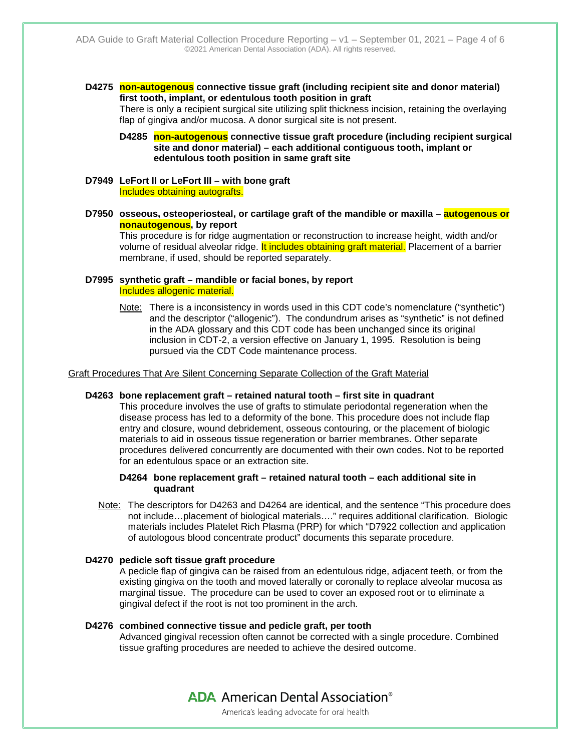**D4275 non-autogenous connective tissue graft (including recipient site and donor material) first tooth, implant, or edentulous tooth position in graft**

There is only a recipient surgical site utilizing split thickness incision, retaining the overlaying flap of gingiva and/or mucosa. A donor surgical site is not present.

**D4285 non-autogenous connective tissue graft procedure (including recipient surgical site and donor material) – each additional contiguous tooth, implant or edentulous tooth position in same graft site**

- **D7949 LeFort II or LeFort III – with bone graft** Includes obtaining autografts.
- **D7950 osseous, osteoperiosteal, or cartilage graft of the mandible or maxilla – autogenous or nonautogenous, by report**

This procedure is for ridge augmentation or reconstruction to increase height, width and/or volume of residual alveolar ridge. It includes obtaining graft material. Placement of a barrier membrane, if used, should be reported separately.

#### **D7995 synthetic graft – mandible or facial bones, by report** Includes allogenic material.

Note: There is a inconsistency in words used in this CDT code's nomenclature ("synthetic") and the descriptor ("allogenic"). The condundrum arises as "synthetic" is not defined in the ADA glossary and this CDT code has been unchanged since its original inclusion in CDT-2, a version effective on January 1, 1995. Resolution is being pursued via the CDT Code maintenance process.

#### Graft Procedures That Are Silent Concerning Separate Collection of the Graft Material

#### **D4263 bone replacement graft – retained natural tooth – first site in quadrant**

This procedure involves the use of grafts to stimulate periodontal regeneration when the disease process has led to a deformity of the bone. This procedure does not include flap entry and closure, wound debridement, osseous contouring, or the placement of biologic materials to aid in osseous tissue regeneration or barrier membranes. Other separate procedures delivered concurrently are documented with their own codes. Not to be reported for an edentulous space or an extraction site.

#### **D4264 bone replacement graft – retained natural tooth – each additional site in quadrant**

Note: The descriptors for D4263 and D4264 are identical, and the sentence "This procedure does not include...placement of biological materials...." requires additional clarification. Biologic materials includes Platelet Rich Plasma (PRP) for which "D7922 collection and application of autologous blood concentrate product" documents this separate procedure.

#### **D4270 pedicle soft tissue graft procedure**

A pedicle flap of gingiva can be raised from an edentulous ridge, adjacent teeth, or from the existing gingiva on the tooth and moved laterally or coronally to replace alveolar mucosa as marginal tissue. The procedure can be used to cover an exposed root or to eliminate a gingival defect if the root is not too prominent in the arch.

#### **D4276 combined connective tissue and pedicle graft, per tooth**

Advanced gingival recession often cannot be corrected with a single procedure. Combined tissue grafting procedures are needed to achieve the desired outcome.

> **ADA** American Dental Association<sup>®</sup> America's leading advocate for oral health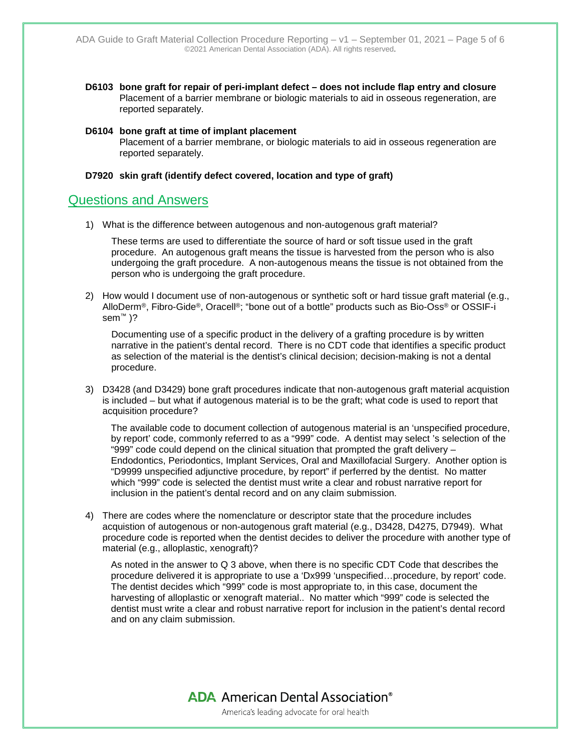- **D6103 bone graft for repair of peri-implant defect – does not include flap entry and closure** Placement of a barrier membrane or biologic materials to aid in osseous regeneration, are reported separately.
- **D6104 bone graft at time of implant placement**  Placement of a barrier membrane, or biologic materials to aid in osseous regeneration are reported separately.

#### **D7920 skin graft (identify defect covered, location and type of graft)**

### Questions and Answers

1) What is the difference between autogenous and non-autogenous graft material?

These terms are used to differentiate the source of hard or soft tissue used in the graft procedure. An autogenous graft means the tissue is harvested from the person who is also undergoing the graft procedure. A non-autogenous means the tissue is not obtained from the person who is undergoing the graft procedure.

2) How would I document use of non-autogenous or synthetic soft or hard tissue graft material (e.g., AlloDerm®, Fibro-Gide®, Oracell®; "bone out of a bottle" products such as Bio-Oss® or OSSIF-i sem™ )?

Documenting use of a specific product in the delivery of a grafting procedure is by written narrative in the patient's dental record. There is no CDT code that identifies a specific product as selection of the material is the dentist's clinical decision; decision-making is not a dental procedure.

3) D3428 (and D3429) bone graft procedures indicate that non-autogenous graft material acquistion is included – but what if autogenous material is to be the graft; what code is used to report that acquisition procedure?

The available code to document collection of autogenous material is an 'unspecified procedure, by report' code, commonly referred to as a "999" code. A dentist may select 's selection of the "999" code could depend on the clinical situation that prompted the graft delivery  $-$ Endodontics, Periodontics, Implant Services, Oral and Maxillofacial Surgery. Another option is "D9999 unspecified adjunctive procedure, by report" if perferred by the dentist. No matter which "999" code is selected the dentist must write a clear and robust narrative report for inclusion in the patient's dental record and on any claim submission.

4) There are codes where the nomenclature or descriptor state that the procedure includes acquistion of autogenous or non-autogenous graft material (e.g., D3428, D4275, D7949). What procedure code is reported when the dentist decides to deliver the procedure with another type of material (e.g., alloplastic, xenograft)?

As noted in the answer to Q 3 above, when there is no specific CDT Code that describes the procedure delivered it is appropriate to use a 'Dx999 'unspecified…procedure, by report' code. The dentist decides which "999" code is most appropriate to, in this case, document the harvesting of alloplastic or xenograft material.. No matter which "999" code is selected the dentist must write a clear and robust narrative report for inclusion in the patient's dental record and on any claim submission.

> **ADA** American Dental Association<sup>®</sup> America's leading advocate for oral health